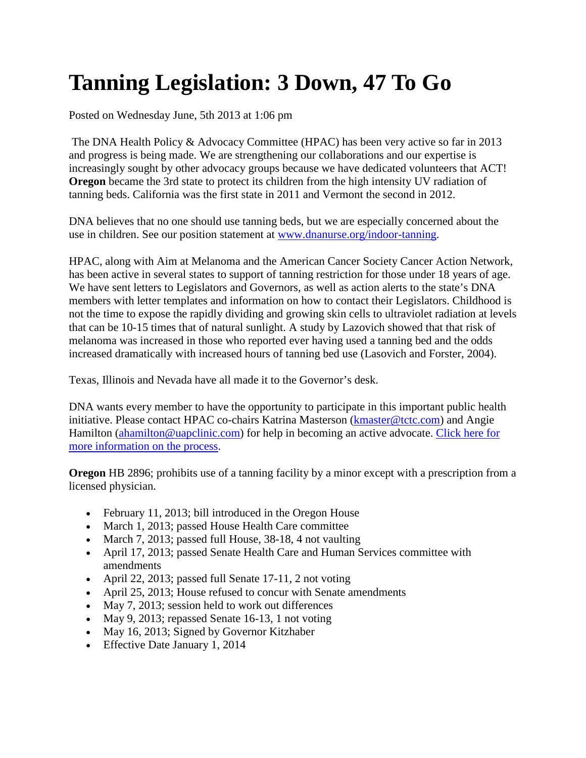# **Tanning Legislation: 3 Down, 47 To Go**

Posted on Wednesday June, 5th 2013 at 1:06 pm

The DNA Health Policy & Advocacy Committee (HPAC) has been very active so far in 2013 and progress is being made. We are strengthening our collaborations and our expertise is increasingly sought by other advocacy groups because we have dedicated volunteers that ACT! **Oregon** became the 3rd state to protect its children from the high intensity UV radiation of tanning beds. California was the first state in 2011 and Vermont the second in 2012.

DNA believes that no one should use tanning beds, but we are especially concerned about the use in children. See our position statement at [www.dnanurse.org/indoor-tanning.](http://www.dnanurse.org/indoor-tanning.html)

HPAC, along with Aim at Melanoma and the American Cancer Society Cancer Action Network, has been active in several states to support of tanning restriction for those under 18 years of age. We have sent letters to Legislators and Governors, as well as action alerts to the state's DNA members with letter templates and information on how to contact their Legislators. Childhood is not the time to expose the rapidly dividing and growing skin cells to ultraviolet radiation at levels that can be 10-15 times that of natural sunlight. A study by Lazovich showed that that risk of melanoma was increased in those who reported ever having used a tanning bed and the odds increased dramatically with increased hours of tanning bed use (Lasovich and Forster, 2004).

Texas, Illinois and Nevada have all made it to the Governor's desk.

DNA wants every member to have the opportunity to participate in this important public health initiative. Please contact HPAC co-chairs Katrina Masterson [\(kmaster@tctc.com\)](mailto:kmaster@tctc.com) and Angie Hamilton [\(ahamilton@uapclinic.com\)](mailto:ahamilton@uapclinic.com) for help in becoming an active advocate. Click here for [more information on the process.](http://www.dnanurse.org/advocacy/basic-tips-to-effect-change.html)

**Oregon** HB 2896; prohibits use of a tanning facility by a minor except with a prescription from a licensed physician.

- February 11, 2013; bill introduced in the Oregon House
- March 1, 2013; passed House Health Care committee
- March 7, 2013; passed full House, 38-18, 4 not vaulting
- April 17, 2013; passed Senate Health Care and Human Services committee with amendments
- April 22, 2013; passed full Senate 17-11, 2 not voting
- April 25, 2013; House refused to concur with Senate amendments
- May 7, 2013; session held to work out differences
- May 9, 2013; repassed Senate 16-13, 1 not voting
- May 16, 2013; Signed by Governor Kitzhaber
- Effective Date January 1, 2014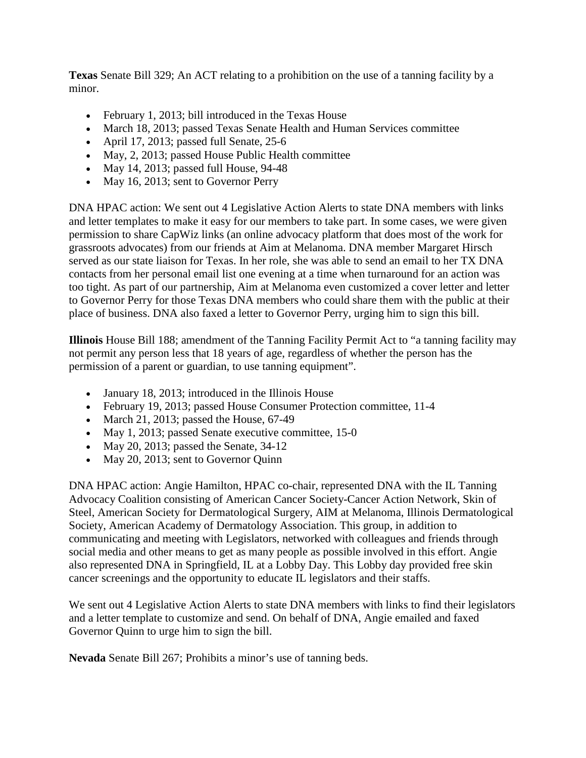**Texas** Senate Bill 329; An ACT relating to a prohibition on the use of a tanning facility by a minor.

- February 1, 2013; bill introduced in the Texas House
- March 18, 2013; passed Texas Senate Health and Human Services committee
- April 17, 2013; passed full Senate, 25-6
- May, 2, 2013; passed House Public Health committee
- May 14, 2013; passed full House, 94-48
- May 16, 2013; sent to Governor Perry

DNA HPAC action: We sent out 4 Legislative Action Alerts to state DNA members with links and letter templates to make it easy for our members to take part. In some cases, we were given permission to share CapWiz links (an online advocacy platform that does most of the work for grassroots advocates) from our friends at Aim at Melanoma. DNA member Margaret Hirsch served as our state liaison for Texas. In her role, she was able to send an email to her TX DNA contacts from her personal email list one evening at a time when turnaround for an action was too tight. As part of our partnership, Aim at Melanoma even customized a cover letter and letter to Governor Perry for those Texas DNA members who could share them with the public at their place of business. DNA also faxed a letter to Governor Perry, urging him to sign this bill.

**Illinois** House Bill 188; amendment of the Tanning Facility Permit Act to "a tanning facility may not permit any person less that 18 years of age, regardless of whether the person has the permission of a parent or guardian, to use tanning equipment".

- January 18, 2013; introduced in the Illinois House
- February 19, 2013; passed House Consumer Protection committee, 11-4
- March 21, 2013; passed the House,  $67-49$
- May 1, 2013; passed Senate executive committee, 15-0
- May 20, 2013; passed the Senate,  $34-12$
- May 20, 2013; sent to Governor Quinn

DNA HPAC action: Angie Hamilton, HPAC co-chair, represented DNA with the IL Tanning Advocacy Coalition consisting of American Cancer Society-Cancer Action Network, Skin of Steel, American Society for Dermatological Surgery, AIM at Melanoma, Illinois Dermatological Society, American Academy of Dermatology Association. This group, in addition to communicating and meeting with Legislators, networked with colleagues and friends through social media and other means to get as many people as possible involved in this effort. Angie also represented DNA in Springfield, IL at a Lobby Day. This Lobby day provided free skin cancer screenings and the opportunity to educate IL legislators and their staffs.

We sent out 4 Legislative Action Alerts to state DNA members with links to find their legislators and a letter template to customize and send. On behalf of DNA, Angie emailed and faxed Governor Quinn to urge him to sign the bill.

**Nevada** Senate Bill 267; Prohibits a minor's use of tanning beds.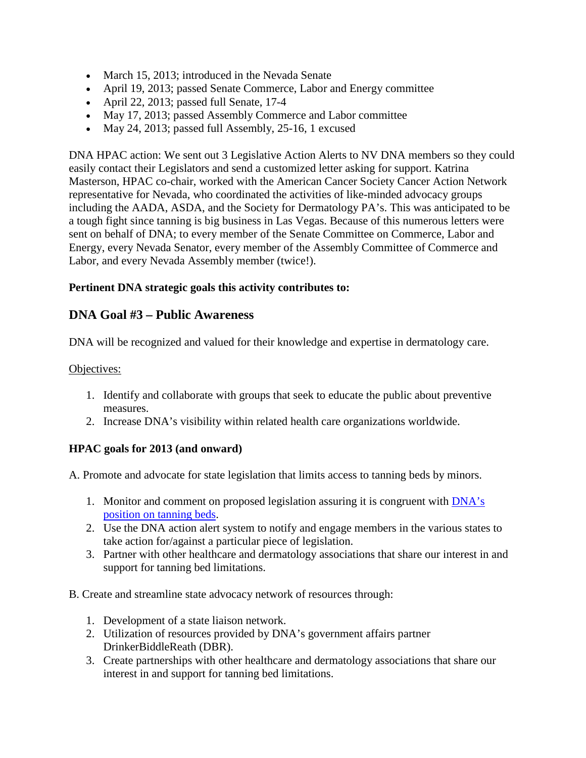- March 15, 2013; introduced in the Nevada Senate
- April 19, 2013; passed Senate Commerce, Labor and Energy committee
- April 22, 2013; passed full Senate, 17-4
- May 17, 2013; passed Assembly Commerce and Labor committee
- May 24, 2013; passed full Assembly, 25-16, 1 excused

DNA HPAC action: We sent out 3 Legislative Action Alerts to NV DNA members so they could easily contact their Legislators and send a customized letter asking for support. Katrina Masterson, HPAC co-chair, worked with the American Cancer Society Cancer Action Network representative for Nevada, who coordinated the activities of like-minded advocacy groups including the AADA, ASDA, and the Society for Dermatology PA's. This was anticipated to be a tough fight since tanning is big business in Las Vegas. Because of this numerous letters were sent on behalf of DNA; to every member of the Senate Committee on Commerce, Labor and Energy, every Nevada Senator, every member of the Assembly Committee of Commerce and Labor, and every Nevada Assembly member (twice!).

### **Pertinent DNA strategic goals this activity contributes to:**

## **DNA Goal #3 – Public Awareness**

DNA will be recognized and valued for their knowledge and expertise in dermatology care.

#### Objectives:

- 1. Identify and collaborate with groups that seek to educate the public about preventive measures.
- 2. Increase DNA's visibility within related health care organizations worldwide.

#### **HPAC goals for 2013 (and onward)**

A. Promote and advocate for state legislation that limits access to tanning beds by minors.

- 1. Monitor and comment on proposed legislation assuring it is congruent with **DNA**'s [position on tanning beds.](http://www.dnanurse.org/indoor-tanning.html)
- 2. Use the DNA action alert system to notify and engage members in the various states to take action for/against a particular piece of legislation.
- 3. Partner with other healthcare and dermatology associations that share our interest in and support for tanning bed limitations.
- B. Create and streamline state advocacy network of resources through:
	- 1. Development of a state liaison network.
	- 2. Utilization of resources provided by DNA's government affairs partner DrinkerBiddleReath (DBR).
	- 3. Create partnerships with other healthcare and dermatology associations that share our interest in and support for tanning bed limitations.